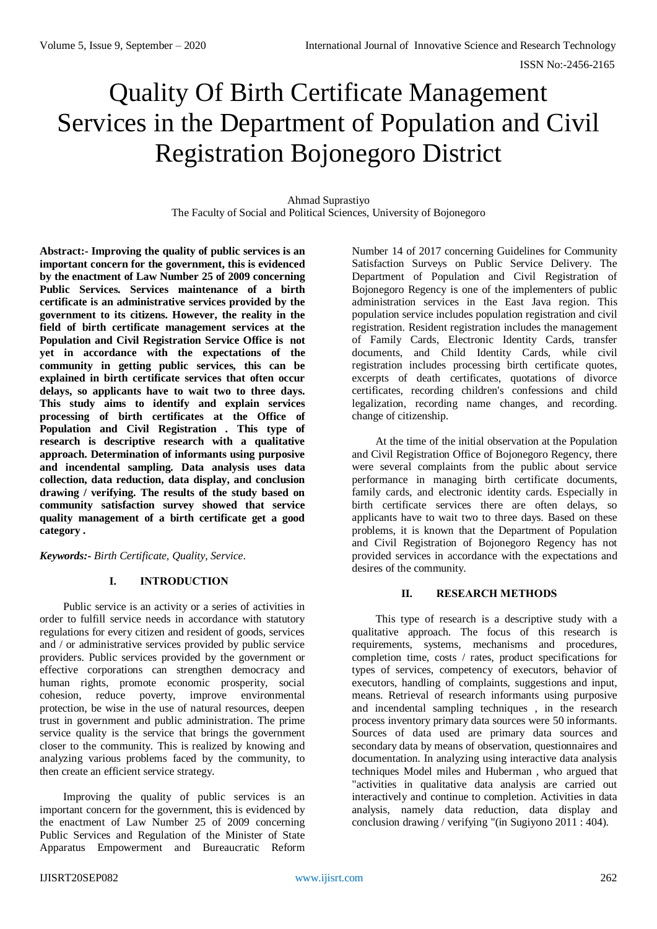# Quality Of Birth Certificate Management Services in the Department of Population and Civil Registration Bojonegoro District

Ahmad Suprastiyo The Faculty of Social and Political Sciences, University of Bojonegoro

**Abstract:- Improving the quality of public services is an important concern for the government, this is evidenced by the enactment of Law Number 25 of 2009 concerning Public Services. Services maintenance of a birth certificate is an administrative services provided by the government to its citizens. However, the reality in the field of birth certificate management services at the Population and Civil Registration Service Office is not yet in accordance with the expectations of the community in getting public services, this can be explained in birth certificate services that often occur delays, so applicants have to wait two to three days. This study aims to identify and explain services processing of birth certificates at the Office of Population and Civil Registration . This type of research is descriptive research with a qualitative approach. Determination of informants using purposive and incendental sampling. Data analysis uses data collection, data reduction, data display, and conclusion drawing / verifying. The results of the study based on community satisfaction survey showed that service quality management of a birth certificate get a good category .**

*Keywords:- Birth Certificate, Quality, Service.*

# **I. INTRODUCTION**

Public service is an activity or a series of activities in order to fulfill service needs in accordance with statutory regulations for every citizen and resident of goods, services and / or administrative services provided by public service providers. Public services provided by the government or effective corporations can strengthen democracy and human rights, promote economic prosperity, social cohesion, reduce poverty, improve environmental protection, be wise in the use of natural resources, deepen trust in government and public administration. The prime service quality is the service that brings the government closer to the community. This is realized by knowing and analyzing various problems faced by the community, to then create an efficient service strategy.

Improving the quality of public services is an important concern for the government, this is evidenced by the enactment of Law Number 25 of 2009 concerning Public Services and Regulation of the Minister of State Apparatus Empowerment and Bureaucratic Reform

Number 14 of 2017 concerning Guidelines for Community Satisfaction Surveys on Public Service Delivery. The Department of Population and Civil Registration of Bojonegoro Regency is one of the implementers of public administration services in the East Java region. This population service includes population registration and civil registration. Resident registration includes the management of Family Cards, Electronic Identity Cards, transfer documents, and Child Identity Cards, while civil registration includes processing birth certificate quotes, excerpts of death certificates, quotations of divorce certificates, recording children's confessions and child legalization, recording name changes, and recording. change of citizenship.

At the time of the initial observation at the Population and Civil Registration Office of Bojonegoro Regency, there were several complaints from the public about service performance in managing birth certificate documents, family cards, and electronic identity cards. Especially in birth certificate services there are often delays, so applicants have to wait two to three days. Based on these problems, it is known that the Department of Population and Civil Registration of Bojonegoro Regency has not provided services in accordance with the expectations and desires of the community.

# **II. RESEARCH METHODS**

This type of research is a descriptive study with a qualitative approach. The focus of this research is requirements, systems, mechanisms and procedures, completion time, costs / rates, product specifications for types of services, competency of executors, behavior of executors, handling of complaints, suggestions and input, means. Retrieval of research informants using purposive and incendental sampling techniques , in the research process inventory primary data sources were 50 informants. Sources of data used are primary data sources and secondary data by means of observation, questionnaires and documentation. In analyzing using interactive data analysis techniques Model miles and Huberman , who argued that "activities in qualitative data analysis are carried out interactively and continue to completion. Activities in data analysis, namely data reduction, data display and conclusion drawing / verifying "(in Sugiyono 2011 : 404).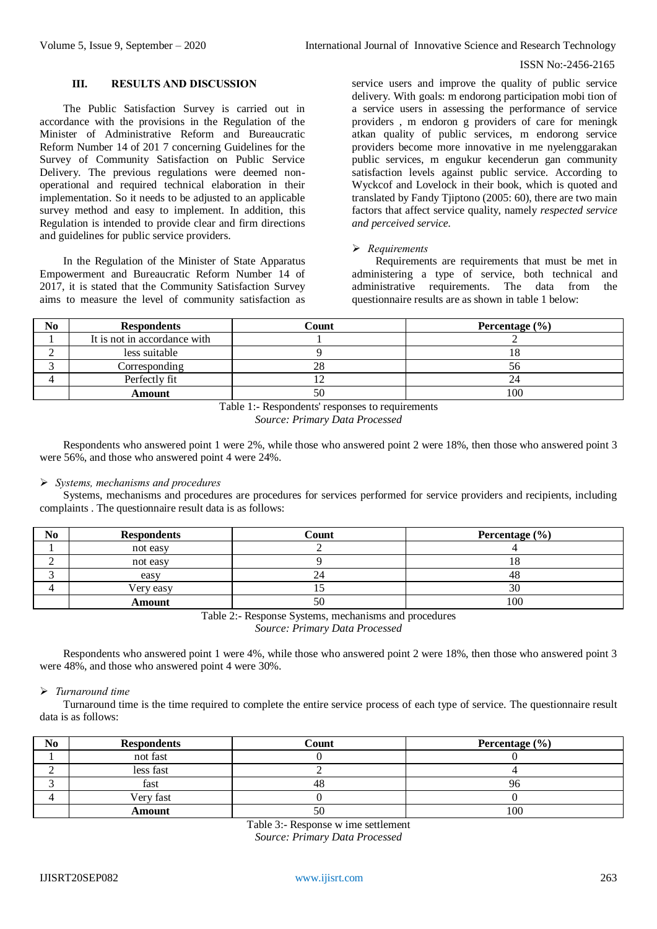## ISSN No:-2456-2165

# **III. RESULTS AND DISCUSSION**

The Public Satisfaction Survey is carried out in accordance with the provisions in the Regulation of the Minister of Administrative Reform and Bureaucratic Reform Number 14 of 201 7 concerning Guidelines for the Survey of Community Satisfaction on Public Service Delivery. The previous regulations were deemed nonoperational and required technical elaboration in their implementation. So it needs to be adjusted to an applicable survey method and easy to implement. In addition, this Regulation is intended to provide clear and firm directions and guidelines for public service providers.

In the Regulation of the Minister of State Apparatus Empowerment and Bureaucratic Reform Number 14 of 2017, it is stated that the Community Satisfaction Survey aims to measure the level of community satisfaction as

service users and improve the quality of public service delivery. With goals: m endorong participation mobi tion of a service users in assessing the performance of service providers , m endoron g providers of care for meningk atkan quality of public services, m endorong service providers become more innovative in me nyelenggarakan public services, m engukur kecenderun gan community satisfaction levels against public service. According to Wyckcof and Lovelock in their book, which is quoted and translated by Fandy Tjiptono (2005: 60), there are two main factors that affect service quality, namely *respected service and perceived service.*

# *Requirements*

Requirements are requirements that must be met in administering a type of service, both technical and administrative requirements. The data from the questionnaire results are as shown in table 1 below:

| No | <b>Respondents</b>           | Count | Percentage $(\% )$ |
|----|------------------------------|-------|--------------------|
|    | It is not in accordance with |       |                    |
|    | less suitable                |       |                    |
|    | Corresponding                | 28    | .)U                |
|    | Perfectly fit                |       |                    |
|    | <b>Amount</b>                | 50    | 100                |

Table 1:- Respondents' responses to requirements *Source: Primary Data Processed*

Respondents who answered point 1 were 2%, while those who answered point 2 were 18%, then those who answered point 3 were 56%, and those who answered point 4 were 24%.

# *Systems, mechanisms and procedures*

Systems, mechanisms and procedures are procedures for services performed for service providers and recipients, including complaints . The questionnaire result data is as follows:

| No | <b>Respondents</b> | $\operatorname{\mathsf{Count}}$ | Percentage $(\% )$ |
|----|--------------------|---------------------------------|--------------------|
|    | not easy           |                                 |                    |
|    | not easy           |                                 |                    |
|    | easy               | 24.                             | 40                 |
|    | Very easy          |                                 | 30                 |
|    | Amount             | 50                              | 100                |

Table 2:- Response Systems, mechanisms and procedures

*Source: Primary Data Processed*

Respondents who answered point 1 were 4%, while those who answered point 2 were 18%, then those who answered point 3 were 48%, and those who answered point 4 were 30%.

#### *Turnaround time*

Turnaround time is the time required to complete the entire service process of each type of service. The questionnaire result data is as follows:

| No | <b>Respondents</b> | Count | Percentage $(\% )$ |
|----|--------------------|-------|--------------------|
|    | not fast           |       |                    |
|    | less fast          |       |                    |
|    | fast               | 48    |                    |
|    | Very fast          |       |                    |
|    | Amount             | 50    | 100                |

Table 3:- Response w ime settlement *Source: Primary Data Processed*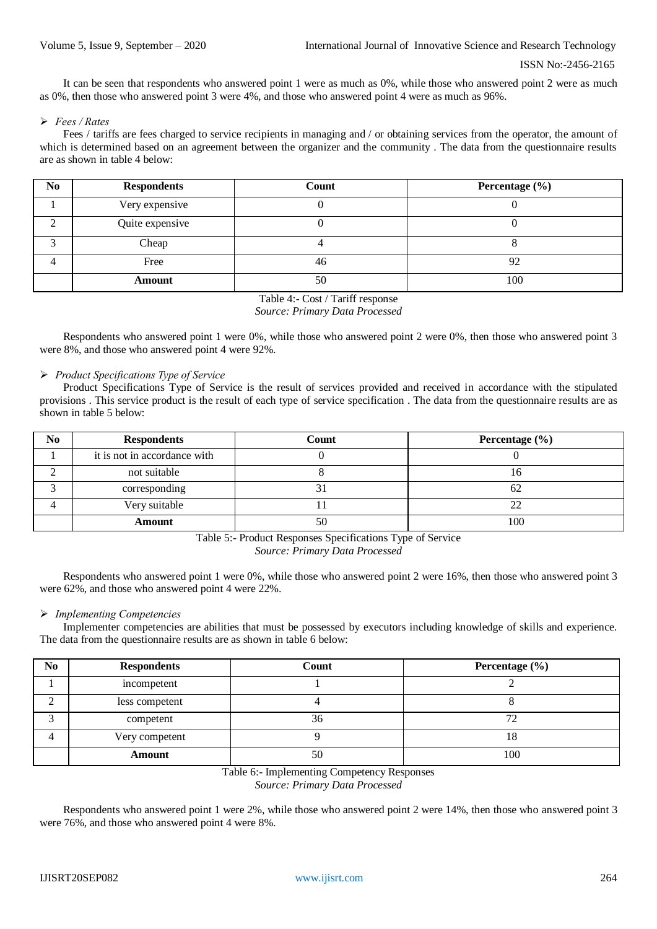It can be seen that respondents who answered point 1 were as much as 0%, while those who answered point 2 were as much as 0%, then those who answered point 3 were 4%, and those who answered point 4 were as much as 96%.

### *Fees / Rates*

Fees / tariffs are fees charged to service recipients in managing and / or obtaining services from the operator, the amount of which is determined based on an agreement between the organizer and the community . The data from the questionnaire results are as shown in table 4 below:

| N <sub>0</sub> | <b>Respondents</b> | Count | Percentage (%) |
|----------------|--------------------|-------|----------------|
|                | Very expensive     |       |                |
|                | Quite expensive    |       |                |
|                | Cheap              |       |                |
|                | Free               | 46    | 92             |
|                | <b>Amount</b>      | 50    | 100            |

Table 4:- Cost / Tariff response

# *Source: Primary Data Processed*

Respondents who answered point 1 were 0%, while those who answered point 2 were 0%, then those who answered point 3 were 8%, and those who answered point 4 were 92%.

## *Product Specifications Type of Service*

Product Specifications Type of Service is the result of services provided and received in accordance with the stipulated provisions . This service product is the result of each type of service specification . The data from the questionnaire results are as shown in table 5 below:

| No | <b>Respondents</b>           | Count | Percentage $(\% )$ |
|----|------------------------------|-------|--------------------|
|    | it is not in accordance with |       |                    |
|    | not suitable                 |       |                    |
|    | corresponding                |       | υ∠                 |
|    | Very suitable                |       |                    |
|    | Amount                       | 50    | 100                |

Table 5:- Product Responses Specifications Type of Service *Source: Primary Data Processed*

Respondents who answered point 1 were 0%, while those who answered point 2 were 16%, then those who answered point 3 were 62%, and those who answered point 4 were 22%.

#### *Implementing Competencies*

Implementer competencies are abilities that must be possessed by executors including knowledge of skills and experience. The data from the questionnaire results are as shown in table 6 below:

| N <sub>0</sub> | <b>Respondents</b> | Count | Percentage $(\% )$ |
|----------------|--------------------|-------|--------------------|
|                | incompetent        |       |                    |
| ◠              | less competent     |       |                    |
|                | competent          | 36    |                    |
|                | Very competent     |       | 10.                |
|                | Amount             | 50    | 100                |

Table 6:- Implementing Competency Responses *Source: Primary Data Processed*

Respondents who answered point 1 were 2%, while those who answered point 2 were 14%, then those who answered point 3 were 76%, and those who answered point 4 were 8%.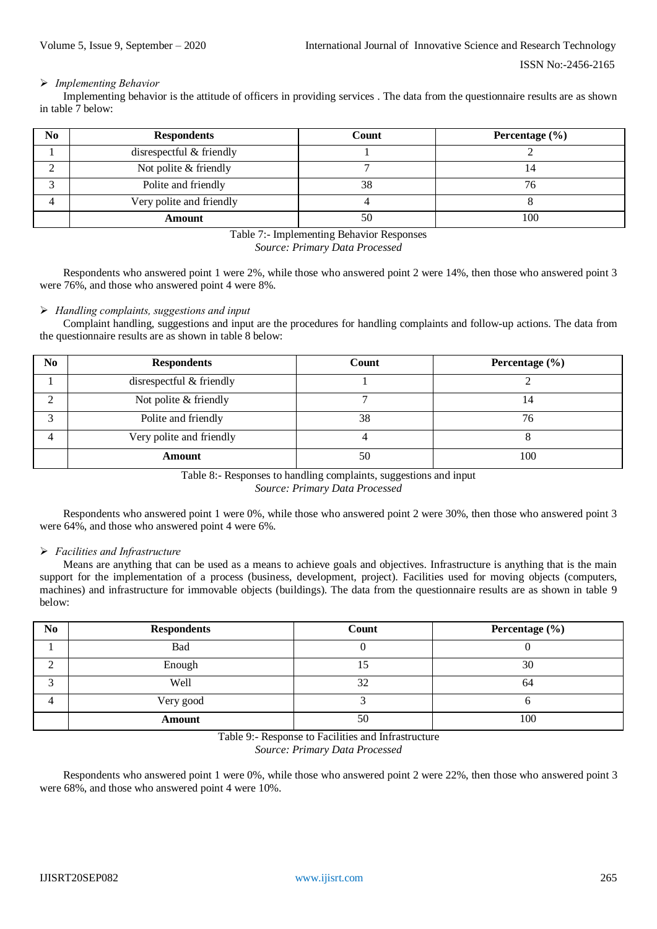## *Implementing Behavior*

Implementing behavior is the attitude of officers in providing services . The data from the questionnaire results are as shown in table 7 below:

| N <sub>0</sub> | <b>Respondents</b>       | Count | Percentage $(\% )$ |
|----------------|--------------------------|-------|--------------------|
|                | disrespectful & friendly |       |                    |
|                | Not polite & friendly    |       |                    |
|                | Polite and friendly      | 38    | 76                 |
|                | Very polite and friendly |       |                    |
|                | Amount                   | 50    | 100                |

Table 7:- Implementing Behavior Responses *Source: Primary Data Processed*

Respondents who answered point 1 were 2%, while those who answered point 2 were 14%, then those who answered point 3 were 76%, and those who answered point 4 were 8%.

## *Handling complaints, suggestions and input*

Complaint handling, suggestions and input are the procedures for handling complaints and follow-up actions. The data from the questionnaire results are as shown in table 8 below:

| No | <b>Respondents</b>       | Count | Percentage $(\% )$ |
|----|--------------------------|-------|--------------------|
|    | disrespectful & friendly |       |                    |
| ◠  | Not polite & friendly    |       | 14                 |
| ⌒  | Polite and friendly      | 38    | 76                 |
| 4  | Very polite and friendly |       |                    |
|    | <b>Amount</b>            | 50    | 100                |

Table 8:- Responses to handling complaints, suggestions and input *Source: Primary Data Processed*

Respondents who answered point 1 were 0%, while those who answered point 2 were 30%, then those who answered point 3 were 64%, and those who answered point 4 were 6%.

## *Facilities and Infrastructure*

Means are anything that can be used as a means to achieve goals and objectives. Infrastructure is anything that is the main support for the implementation of a process (business, development, project). Facilities used for moving objects (computers, machines) and infrastructure for immovable objects (buildings). The data from the questionnaire results are as shown in table 9 below:

| N <sub>0</sub> | <b>Respondents</b> | Count | Percentage (%) |
|----------------|--------------------|-------|----------------|
|                | Bad                |       |                |
|                | Enough             |       | 30             |
|                | Well               | 32    | 64             |
|                | Very good          |       |                |
|                | Amount             | 50    | 100            |

Table 9:- Response to Facilities and Infrastructure *Source: Primary Data Processed*

Respondents who answered point 1 were 0%, while those who answered point 2 were 22%, then those who answered point 3 were 68%, and those who answered point 4 were 10%.